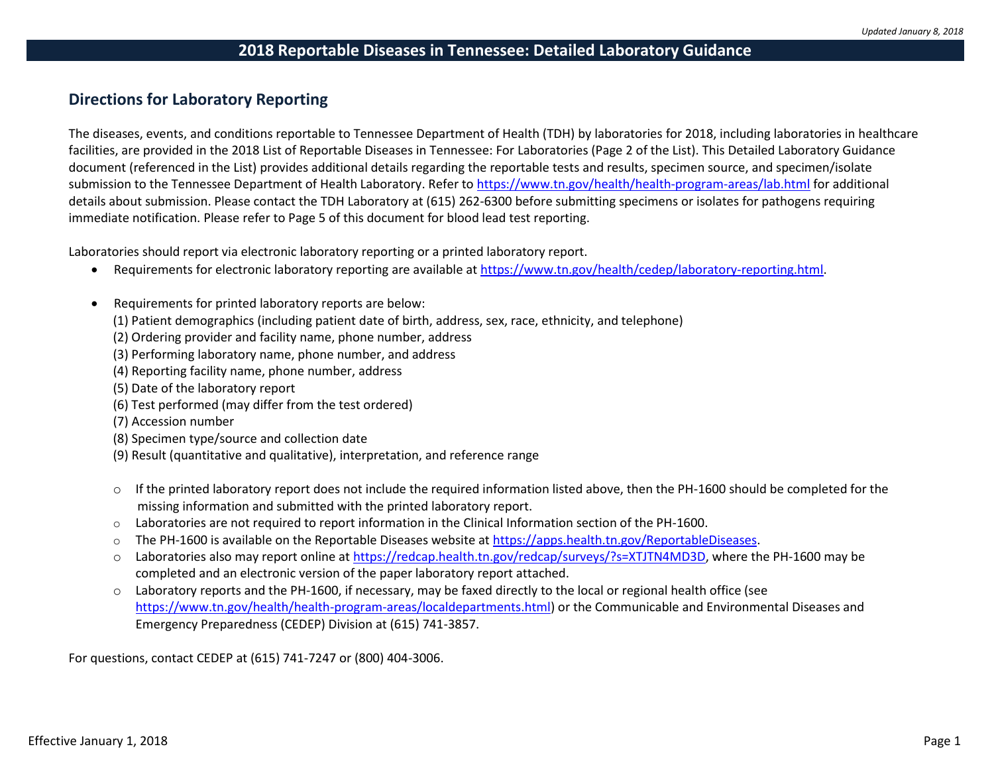## **Directions for Laboratory Reporting**

The diseases, events, and conditions reportable to Tennessee Department of Health (TDH) by laboratories for 2018, including laboratories in healthcare facilities, are provided in the 2018 List of Reportable Diseases in Tennessee: For Laboratories (Page 2 of the List). This Detailed Laboratory Guidance document (referenced in the List) provides additional details regarding the reportable tests and results, specimen source, and specimen/isolate submission to the Tennessee Department of Health Laboratory. Refer to <https://www.tn.gov/health/health-program-areas/lab.html> for additional details about submission. Please contact the TDH Laboratory at (615) 262-6300 before submitting specimens or isolates for pathogens requiring immediate notification. Please refer to Page 5 of this document for blood lead test reporting.

Laboratories should report via electronic laboratory reporting or a printed laboratory report.

- Requirements for electronic laboratory reporting are available at [https://www.tn.gov/health/cedep/laboratory-reporting.html.](https://www.tn.gov/health/cedep/laboratory-reporting.html)
- Requirements for printed laboratory reports are below:
	- (1) Patient demographics (including patient date of birth, address, sex, race, ethnicity, and telephone)
	- (2) Ordering provider and facility name, phone number, address
	- (3) Performing laboratory name, phone number, and address
	- (4) Reporting facility name, phone number, address
	- (5) Date of the laboratory report
	- (6) Test performed (may differ from the test ordered)
	- (7) Accession number
	- (8) Specimen type/source and collection date
	- (9) Result (quantitative and qualitative), interpretation, and reference range
	- $\circ$  If the printed laboratory report does not include the required information listed above, then the PH-1600 should be completed for the missing information and submitted with the printed laboratory report.
	- $\circ$  Laboratories are not required to report information in the Clinical Information section of the PH-1600.
	- $\circ$  The PH-1600 is available on the Reportable Diseases website a[t https://apps.health.tn.gov/ReportableDiseases.](https://apps.health.tn.gov/ReportableDiseases)
	- $\circ$  Laboratories also may report online at [https://redcap.health.tn.gov/redcap/surveys/?s=XTJTN4MD3D,](https://redcap.health.tn.gov/redcap/surveys/?s=XTJTN4MD3D) where the PH-1600 may be completed and an electronic version of the paper laboratory report attached.
	- o Laboratory reports and the PH-1600, if necessary, may be faxed directly to the local or regional health office (see [https://www.tn.gov/health/health-program-areas/localdepartments.html\)](https://www.tn.gov/health/health-program-areas/localdepartments.html) or the Communicable and Environmental Diseases and Emergency Preparedness (CEDEP) Division at (615) 741-3857.

For questions, contact CEDEP at (615) 741-7247 or (800) 404-3006.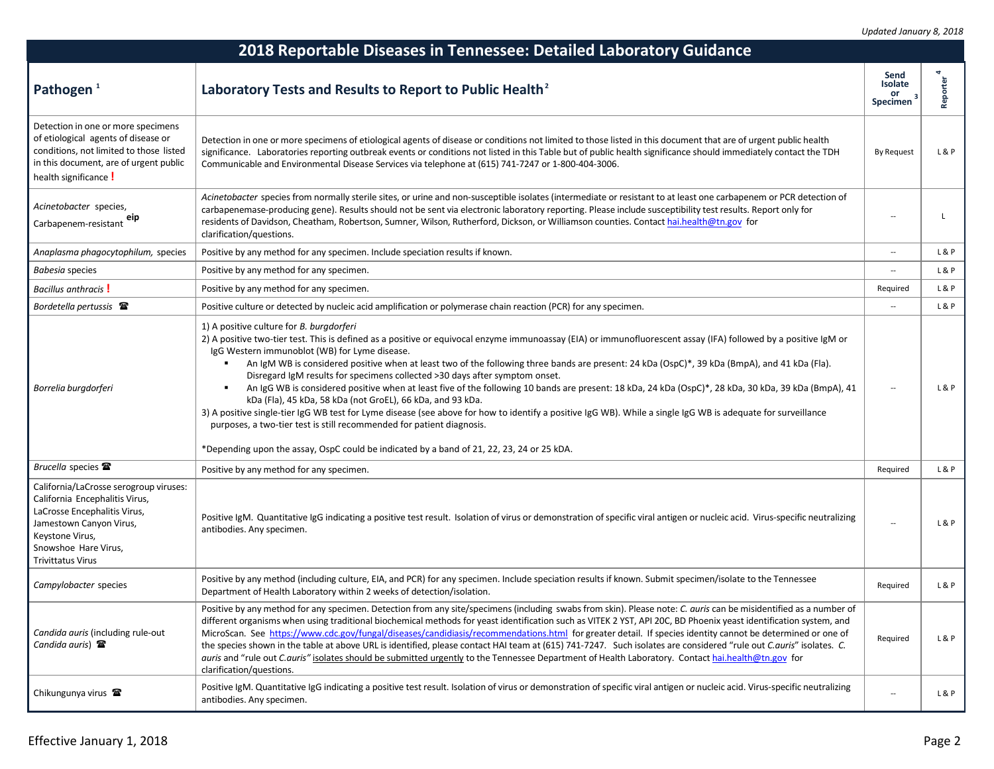| 2018 Reportable Diseases in Tennessee: Detailed Laboratory Guidance                                                                                                                                        |                                                                                                                                                                                                                                                                                                                                                                                                                                                                                                                                                                                                                                                                                                                                                                                                                                                                                                                                                                                                                                                                                 |                                   |          |  |
|------------------------------------------------------------------------------------------------------------------------------------------------------------------------------------------------------------|---------------------------------------------------------------------------------------------------------------------------------------------------------------------------------------------------------------------------------------------------------------------------------------------------------------------------------------------------------------------------------------------------------------------------------------------------------------------------------------------------------------------------------------------------------------------------------------------------------------------------------------------------------------------------------------------------------------------------------------------------------------------------------------------------------------------------------------------------------------------------------------------------------------------------------------------------------------------------------------------------------------------------------------------------------------------------------|-----------------------------------|----------|--|
| Pathogen <sup>1</sup>                                                                                                                                                                                      | Laboratory Tests and Results to Report to Public Health <sup>2</sup>                                                                                                                                                                                                                                                                                                                                                                                                                                                                                                                                                                                                                                                                                                                                                                                                                                                                                                                                                                                                            | Send<br>Isolate<br>or<br>Specimen | Reporter |  |
| Detection in one or more specimens<br>of etiological agents of disease or<br>conditions, not limited to those listed<br>in this document, are of urgent public<br>health significance!                     | Detection in one or more specimens of etiological agents of disease or conditions not limited to those listed in this document that are of urgent public health<br>significance. Laboratories reporting outbreak events or conditions not listed in this Table but of public health significance should immediately contact the TDH<br>Communicable and Environmental Disease Services via telephone at (615) 741-7247 or 1-800-404-3006.                                                                                                                                                                                                                                                                                                                                                                                                                                                                                                                                                                                                                                       | <b>By Request</b>                 | L&P      |  |
| Acinetobacter species,<br>eip<br>Carbapenem-resistant                                                                                                                                                      | Acinetobacter species from normally sterile sites, or urine and non-susceptible isolates (intermediate or resistant to at least one carbapenem or PCR detection of<br>carbapenemase-producing gene). Results should not be sent via electronic laboratory reporting. Please include susceptibility test results. Report only for<br>residents of Davidson, Cheatham, Robertson, Sumner, Wilson, Rutherford, Dickson, or Williamson counties. Contact hai.health@tn.gov for<br>clarification/questions.                                                                                                                                                                                                                                                                                                                                                                                                                                                                                                                                                                          |                                   |          |  |
| Anaplasma phagocytophilum, species                                                                                                                                                                         | Positive by any method for any specimen. Include speciation results if known.                                                                                                                                                                                                                                                                                                                                                                                                                                                                                                                                                                                                                                                                                                                                                                                                                                                                                                                                                                                                   | $\overline{\phantom{a}}$          | L&P      |  |
| Babesia species                                                                                                                                                                                            | Positive by any method for any specimen.                                                                                                                                                                                                                                                                                                                                                                                                                                                                                                                                                                                                                                                                                                                                                                                                                                                                                                                                                                                                                                        |                                   | L&P      |  |
| <b>Bacillus anthracis</b>                                                                                                                                                                                  | Positive by any method for any specimen.                                                                                                                                                                                                                                                                                                                                                                                                                                                                                                                                                                                                                                                                                                                                                                                                                                                                                                                                                                                                                                        | Required                          | L&P      |  |
| Bordetella pertussis $\mathbf{\mathcal{F}}$                                                                                                                                                                | Positive culture or detected by nucleic acid amplification or polymerase chain reaction (PCR) for any specimen.                                                                                                                                                                                                                                                                                                                                                                                                                                                                                                                                                                                                                                                                                                                                                                                                                                                                                                                                                                 | $\overline{\phantom{a}}$          | L&P      |  |
| Borrelia burgdorferi                                                                                                                                                                                       | 1) A positive culture for B. burgdorferi<br>2) A positive two-tier test. This is defined as a positive or equivocal enzyme immunoassay (EIA) or immunofluorescent assay (IFA) followed by a positive IgM or<br>IgG Western immunoblot (WB) for Lyme disease.<br>An IgM WB is considered positive when at least two of the following three bands are present: 24 kDa (OspC)*, 39 kDa (BmpA), and 41 kDa (Fla).<br>$\blacksquare$<br>Disregard IgM results for specimens collected >30 days after symptom onset.<br>An IgG WB is considered positive when at least five of the following 10 bands are present: 18 kDa, 24 kDa (OspC)*, 28 kDa, 30 kDa, 39 kDa (BmpA), 41<br>٠<br>kDa (Fla), 45 kDa, 58 kDa (not GroEL), 66 kDa, and 93 kDa.<br>3) A positive single-tier IgG WB test for Lyme disease (see above for how to identify a positive IgG WB). While a single IgG WB is adequate for surveillance<br>purposes, a two-tier test is still recommended for patient diagnosis.<br>*Depending upon the assay, OspC could be indicated by a band of 21, 22, 23, 24 or 25 kDA. |                                   | L&P      |  |
| Brucella species <b>雷</b>                                                                                                                                                                                  | Positive by any method for any specimen.                                                                                                                                                                                                                                                                                                                                                                                                                                                                                                                                                                                                                                                                                                                                                                                                                                                                                                                                                                                                                                        | Required                          | L&P      |  |
| California/LaCrosse serogroup viruses:<br>California Encephalitis Virus,<br>LaCrosse Encephalitis Virus,<br>Jamestown Canyon Virus,<br>Keystone Virus,<br>Snowshoe Hare Virus,<br><b>Trivittatus Virus</b> | Positive IgM. Quantitative IgG indicating a positive test result. Isolation of virus or demonstration of specific viral antigen or nucleic acid. Virus-specific neutralizing<br>antibodies. Any specimen.                                                                                                                                                                                                                                                                                                                                                                                                                                                                                                                                                                                                                                                                                                                                                                                                                                                                       |                                   | L&P      |  |
| Campylobacter species                                                                                                                                                                                      | Positive by any method (including culture, EIA, and PCR) for any specimen. Include speciation results if known. Submit specimen/isolate to the Tennessee<br>Department of Health Laboratory within 2 weeks of detection/isolation.                                                                                                                                                                                                                                                                                                                                                                                                                                                                                                                                                                                                                                                                                                                                                                                                                                              | Required                          | L&P      |  |
| Candida auris (including rule-out<br>Candida auris) $\mathbf{\mathcal{F}}$                                                                                                                                 | Positive by any method for any specimen. Detection from any site/specimens (including swabs from skin). Please note: C. auris can be misidentified as a number of<br>different organisms when using traditional biochemical methods for yeast identification such as VITEK 2 YST, API 20C, BD Phoenix yeast identification system, and<br>MicroScan. See https://www.cdc.gov/fungal/diseases/candidiasis/recommendations.html for greater detail. If species identity cannot be determined or one of<br>the species shown in the table at above URL is identified, please contact HAI team at (615) 741-7247. Such isolates are considered "rule out C.auris" isolates. C.<br>auris and "rule out C.auris" isolates should be submitted urgently to the Tennessee Department of Health Laboratory. Contact hai.health@tn.gov for<br>clarification/questions.                                                                                                                                                                                                                    | Required                          | L&P      |  |
| Chikungunya virus <b>雷</b>                                                                                                                                                                                 | Positive IgM. Quantitative IgG indicating a positive test result. Isolation of virus or demonstration of specific viral antigen or nucleic acid. Virus-specific neutralizing<br>antibodies. Any specimen.                                                                                                                                                                                                                                                                                                                                                                                                                                                                                                                                                                                                                                                                                                                                                                                                                                                                       | $\overline{a}$                    | L&P      |  |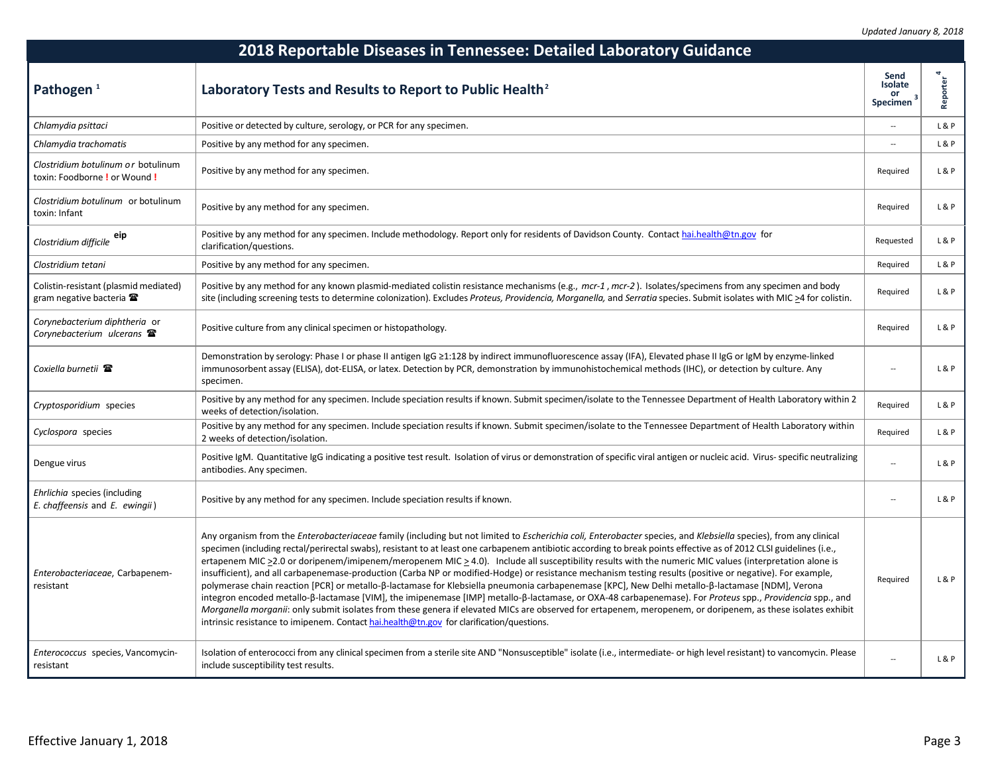| 2018 Reportable Diseases in Tennessee: Detailed Laboratory Guidance                    |                                                                                                                                                                                                                                                                                                                                                                                                                                                                                                                                                                                                                                                                                                                                                                                                                                                                                                                                                                                                                                                                                                                                                                                                                                                         |                                                   |                 |
|----------------------------------------------------------------------------------------|---------------------------------------------------------------------------------------------------------------------------------------------------------------------------------------------------------------------------------------------------------------------------------------------------------------------------------------------------------------------------------------------------------------------------------------------------------------------------------------------------------------------------------------------------------------------------------------------------------------------------------------------------------------------------------------------------------------------------------------------------------------------------------------------------------------------------------------------------------------------------------------------------------------------------------------------------------------------------------------------------------------------------------------------------------------------------------------------------------------------------------------------------------------------------------------------------------------------------------------------------------|---------------------------------------------------|-----------------|
| Pathogen <sup>1</sup>                                                                  | Laboratory Tests and Results to Report to Public Health <sup>2</sup>                                                                                                                                                                                                                                                                                                                                                                                                                                                                                                                                                                                                                                                                                                                                                                                                                                                                                                                                                                                                                                                                                                                                                                                    | Send<br>Isolate<br>or<br>$\mathbf{z}$<br>Specimen | <b>Reporter</b> |
| Chlamydia psittaci                                                                     | Positive or detected by culture, serology, or PCR for any specimen.                                                                                                                                                                                                                                                                                                                                                                                                                                                                                                                                                                                                                                                                                                                                                                                                                                                                                                                                                                                                                                                                                                                                                                                     | $\overline{a}$                                    | L&P             |
| Chlamydia trachomatis                                                                  | Positive by any method for any specimen.                                                                                                                                                                                                                                                                                                                                                                                                                                                                                                                                                                                                                                                                                                                                                                                                                                                                                                                                                                                                                                                                                                                                                                                                                | $\overline{a}$                                    | L&P             |
| Clostridium botulinum or botulinum<br>toxin: Foodborne ! or Wound !                    | Positive by any method for any specimen.                                                                                                                                                                                                                                                                                                                                                                                                                                                                                                                                                                                                                                                                                                                                                                                                                                                                                                                                                                                                                                                                                                                                                                                                                | Required                                          | L & P           |
| Clostridium botulinum or botulinum<br>toxin: Infant                                    | Positive by any method for any specimen.                                                                                                                                                                                                                                                                                                                                                                                                                                                                                                                                                                                                                                                                                                                                                                                                                                                                                                                                                                                                                                                                                                                                                                                                                | Required                                          | L&P             |
| Clostridium difficile eip                                                              | Positive by any method for any specimen. Include methodology. Report only for residents of Davidson County. Contact hai.health@tn.gov for<br>clarification/questions.                                                                                                                                                                                                                                                                                                                                                                                                                                                                                                                                                                                                                                                                                                                                                                                                                                                                                                                                                                                                                                                                                   | Requested                                         | L&P             |
| Clostridium tetani                                                                     | Positive by any method for any specimen.                                                                                                                                                                                                                                                                                                                                                                                                                                                                                                                                                                                                                                                                                                                                                                                                                                                                                                                                                                                                                                                                                                                                                                                                                | Required                                          | L&P             |
| Colistin-resistant (plasmid mediated)<br>gram negative bacteria $\mathbf{\mathcal{F}}$ | Positive by any method for any known plasmid-mediated colistin resistance mechanisms (e.g., mcr-1, mcr-2). Isolates/specimens from any specimen and body<br>site (including screening tests to determine colonization). Excludes Proteus, Providencia, Morganella, and Serratia species. Submit isolates with MIC >4 for colistin.                                                                                                                                                                                                                                                                                                                                                                                                                                                                                                                                                                                                                                                                                                                                                                                                                                                                                                                      | Required                                          | L & P           |
| Corynebacterium diphtheria or<br>Corynebacterium ulcerans $\mathbf{\mathcal{F}}$       | Positive culture from any clinical specimen or histopathology.                                                                                                                                                                                                                                                                                                                                                                                                                                                                                                                                                                                                                                                                                                                                                                                                                                                                                                                                                                                                                                                                                                                                                                                          | Required                                          | L & P           |
| Coxiella burnetii 雷                                                                    | Demonstration by serology: Phase I or phase II antigen IgG ≥1:128 by indirect immunofluorescence assay (IFA), Elevated phase II IgG or IgM by enzyme-linked<br>immunosorbent assay (ELISA), dot-ELISA, or latex. Detection by PCR, demonstration by immunohistochemical methods (IHC), or detection by culture. Any<br>specimen.                                                                                                                                                                                                                                                                                                                                                                                                                                                                                                                                                                                                                                                                                                                                                                                                                                                                                                                        |                                                   | L&P             |
| Cryptosporidium species                                                                | Positive by any method for any specimen. Include speciation results if known. Submit specimen/isolate to the Tennessee Department of Health Laboratory within 2<br>weeks of detection/isolation.                                                                                                                                                                                                                                                                                                                                                                                                                                                                                                                                                                                                                                                                                                                                                                                                                                                                                                                                                                                                                                                        | Required                                          | L&P             |
| Cyclospora species                                                                     | Positive by any method for any specimen. Include speciation results if known. Submit specimen/isolate to the Tennessee Department of Health Laboratory within<br>2 weeks of detection/isolation.                                                                                                                                                                                                                                                                                                                                                                                                                                                                                                                                                                                                                                                                                                                                                                                                                                                                                                                                                                                                                                                        | Required                                          | L & P           |
| Dengue virus                                                                           | Positive IgM. Quantitative IgG indicating a positive test result. Isolation of virus or demonstration of specific viral antigen or nucleic acid. Virus- specific neutralizing<br>antibodies. Any specimen.                                                                                                                                                                                                                                                                                                                                                                                                                                                                                                                                                                                                                                                                                                                                                                                                                                                                                                                                                                                                                                              | $\overline{a}$                                    | L & P           |
| Ehrlichia species (including<br>E. chaffeensis and E. ewingii)                         | Positive by any method for any specimen. Include speciation results if known.                                                                                                                                                                                                                                                                                                                                                                                                                                                                                                                                                                                                                                                                                                                                                                                                                                                                                                                                                                                                                                                                                                                                                                           |                                                   | L&P             |
| Enterobacteriaceae, Carbapenem-<br>resistant                                           | Any organism from the <i>Enterobacteriaceae</i> family (including but not limited to <i>Escherichia coli, Enterobacter</i> species, and Klebsiella species), from any clinical<br>specimen (including rectal/perirectal swabs), resistant to at least one carbapenem antibiotic according to break points effective as of 2012 CLSI guidelines (i.e.,<br>ertapenem MIC >2.0 or doripenem/imipenem/meropenem MIC > 4.0). Include all susceptibility results with the numeric MIC values (interpretation alone is<br>insufficient), and all carbapenemase-production (Carba NP or modified-Hodge) or resistance mechanism testing results (positive or negative). For example,<br>polymerase chain reaction [PCR] or metallo-ß-lactamase for Klebsiella pneumonia carbapenemase [KPC], New Delhi metallo-ß-lactamase [NDM], Verona<br>integron encoded metallo-β-lactamase [VIM], the imipenemase [IMP] metallo-β-lactamase, or OXA-48 carbapenemase). For Proteus spp., Providencia spp., and<br>Morganella morganii: only submit isolates from these genera if elevated MICs are observed for ertapenem, meropenem, or doripenem, as these isolates exhibit<br>intrinsic resistance to imipenem. Contact hai.health@tn.gov for clarification/questions. | Required                                          | L&P             |
| Enterococcus species, Vancomycin-<br>resistant                                         | Isolation of enterococci from any clinical specimen from a sterile site AND "Nonsusceptible" isolate (i.e., intermediate- or high level resistant) to vancomycin. Please<br>include susceptibility test results.                                                                                                                                                                                                                                                                                                                                                                                                                                                                                                                                                                                                                                                                                                                                                                                                                                                                                                                                                                                                                                        | $\overline{a}$                                    | L & P           |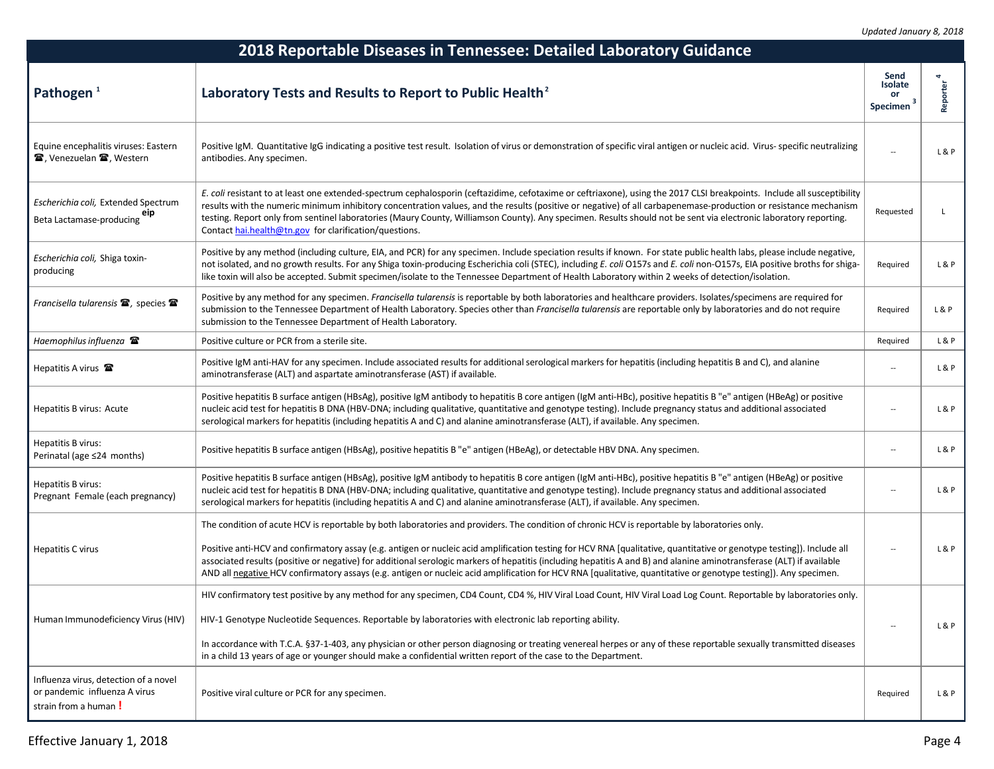| 2018 Reportable Diseases in Tennessee: Detailed Laboratory Guidance                            |                                                                                                                                                                                                                                                                                                                                                                                                                                                                                                                                                                           |                                   |               |  |
|------------------------------------------------------------------------------------------------|---------------------------------------------------------------------------------------------------------------------------------------------------------------------------------------------------------------------------------------------------------------------------------------------------------------------------------------------------------------------------------------------------------------------------------------------------------------------------------------------------------------------------------------------------------------------------|-----------------------------------|---------------|--|
| Pathogen <sup>1</sup>                                                                          | Laboratory Tests and Results to Report to Public Health <sup>2</sup>                                                                                                                                                                                                                                                                                                                                                                                                                                                                                                      | Send<br>Isolate<br>or<br>Specimen | 4<br>Reporter |  |
| Equine encephalitis viruses: Eastern<br>雪, Venezuelan 雪, Western                               | Positive IgM. Quantitative IgG indicating a positive test result. Isolation of virus or demonstration of specific viral antigen or nucleic acid. Virus- specific neutralizing<br>antibodies. Any specimen.                                                                                                                                                                                                                                                                                                                                                                |                                   | L & P         |  |
| Escherichia coli, Extended Spectrum<br>eip elactamase-producing                                | E. coli resistant to at least one extended-spectrum cephalosporin (ceftazidime, cefotaxime or ceftriaxone), using the 2017 CLSI breakpoints. Include all susceptibility<br>results with the numeric minimum inhibitory concentration values, and the results (positive or negative) of all carbapenemase-production or resistance mechanism<br>testing. Report only from sentinel laboratories (Maury County, Williamson County). Any specimen. Results should not be sent via electronic laboratory reporting.<br>Contact hai.health@tn.gov for clarification/questions. | Requested                         | L             |  |
| Escherichia coli, Shiga toxin-<br>producing                                                    | Positive by any method (including culture, EIA, and PCR) for any specimen. Include speciation results if known. For state public health labs, please include negative,<br>not isolated, and no growth results. For any Shiga toxin-producing Escherichia coli (STEC), including E. coli O157s and E. coli non-O157s, EIA positive broths for shiga-<br>like toxin will also be accepted. Submit specimen/isolate to the Tennessee Department of Health Laboratory within 2 weeks of detection/isolation.                                                                  | Required                          | L&P           |  |
| Francisella tularensis 雷, species 雷                                                            | Positive by any method for any specimen. Francisella tularensis is reportable by both laboratories and healthcare providers. Isolates/specimens are required for<br>submission to the Tennessee Department of Health Laboratory. Species other than Francisella tularensis are reportable only by laboratories and do not require<br>submission to the Tennessee Department of Health Laboratory.                                                                                                                                                                         | Required                          | L&P           |  |
| Haemophilus influenza <b>雷</b>                                                                 | Positive culture or PCR from a sterile site.                                                                                                                                                                                                                                                                                                                                                                                                                                                                                                                              | Required                          | L&P           |  |
| Hepatitis A virus $\mathbf{\mathcal{F}}$                                                       | Positive IgM anti-HAV for any specimen. Include associated results for additional serological markers for hepatitis (including hepatitis B and C), and alanine<br>aminotransferase (ALT) and aspartate aminotransferase (AST) if available.                                                                                                                                                                                                                                                                                                                               | $\overline{\phantom{a}}$          | L&P           |  |
| Hepatitis B virus: Acute                                                                       | Positive hepatitis B surface antigen (HBsAg), positive IgM antibody to hepatitis B core antigen (IgM anti-HBc), positive hepatitis B "e" antigen (HBeAg) or positive<br>nucleic acid test for hepatitis B DNA (HBV-DNA; including qualitative, quantitative and genotype testing). Include pregnancy status and additional associated<br>serological markers for hepatitis (including hepatitis A and C) and alanine aminotransferase (ALT), if available. Any specimen.                                                                                                  |                                   | L&P           |  |
| Hepatitis B virus:<br>Perinatal (age ≤24 months)                                               | Positive hepatitis B surface antigen (HBsAg), positive hepatitis B "e" antigen (HBeAg), or detectable HBV DNA. Any specimen.                                                                                                                                                                                                                                                                                                                                                                                                                                              | $\overline{\phantom{a}}$          | L & P         |  |
| Hepatitis B virus:<br>Pregnant Female (each pregnancy)                                         | Positive hepatitis B surface antigen (HBsAg), positive IgM antibody to hepatitis B core antigen (IgM anti-HBc), positive hepatitis B "e" antigen (HBeAg) or positive<br>nucleic acid test for hepatitis B DNA (HBV-DNA; including qualitative, quantitative and genotype testing). Include pregnancy status and additional associated<br>serological markers for hepatitis (including hepatitis A and C) and alanine aminotransferase (ALT), if available. Any specimen.                                                                                                  | $\overline{a}$                    | L&P           |  |
|                                                                                                | The condition of acute HCV is reportable by both laboratories and providers. The condition of chronic HCV is reportable by laboratories only.                                                                                                                                                                                                                                                                                                                                                                                                                             |                                   |               |  |
| Hepatitis C virus                                                                              | Positive anti-HCV and confirmatory assay (e.g. antigen or nucleic acid amplification testing for HCV RNA [qualitative, quantitative or genotype testing]). Include all<br>associated results (positive or negative) for additional serologic markers of hepatitis (including hepatitis A and B) and alanine aminotransferase (ALT) if available<br>AND all negative HCV confirmatory assays (e.g. antigen or nucleic acid amplification for HCV RNA [qualitative, quantitative or genotype testing]). Any specimen.                                                       |                                   | L&P           |  |
|                                                                                                | HIV confirmatory test positive by any method for any specimen, CD4 Count, CD4 %, HIV Viral Load Count, HIV Viral Load Log Count. Reportable by laboratories only.                                                                                                                                                                                                                                                                                                                                                                                                         |                                   |               |  |
| Human Immunodeficiency Virus (HIV)                                                             | HIV-1 Genotype Nucleotide Sequences. Reportable by laboratories with electronic lab reporting ability.                                                                                                                                                                                                                                                                                                                                                                                                                                                                    | $\overline{a}$                    | L&P           |  |
|                                                                                                | In accordance with T.C.A. §37-1-403, any physician or other person diagnosing or treating venereal herpes or any of these reportable sexually transmitted diseases<br>in a child 13 years of age or younger should make a confidential written report of the case to the Department.                                                                                                                                                                                                                                                                                      |                                   |               |  |
| Influenza virus, detection of a novel<br>or pandemic influenza A virus<br>strain from a human! | Positive viral culture or PCR for any specimen.                                                                                                                                                                                                                                                                                                                                                                                                                                                                                                                           | Required                          | L&P           |  |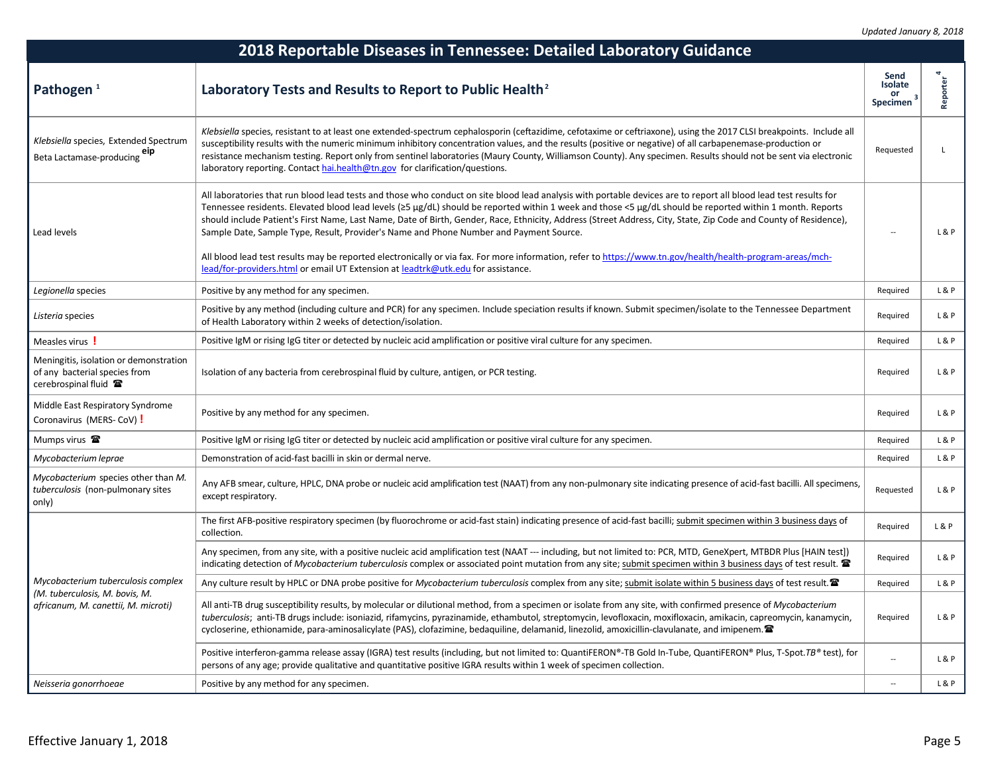| 2018 Reportable Diseases in Tennessee: Detailed Laboratory Guidance                              |                                                                                                                                                                                                                                                                                                                                                                                                                                                                                                                                                                                                                                                                                                                                                                                                                                                     |                                        |                       |
|--------------------------------------------------------------------------------------------------|-----------------------------------------------------------------------------------------------------------------------------------------------------------------------------------------------------------------------------------------------------------------------------------------------------------------------------------------------------------------------------------------------------------------------------------------------------------------------------------------------------------------------------------------------------------------------------------------------------------------------------------------------------------------------------------------------------------------------------------------------------------------------------------------------------------------------------------------------------|----------------------------------------|-----------------------|
| Pathogen <sup>1</sup>                                                                            | Laboratory Tests and Results to Report to Public Health <sup>2</sup>                                                                                                                                                                                                                                                                                                                                                                                                                                                                                                                                                                                                                                                                                                                                                                                | Send<br>Isolate<br>or<br>3<br>Specimen | Reporter <sup>'</sup> |
| Klebsiella species, Extended Spectrum<br>eıp<br>Beta Lactamase-producing                         | Klebsiella species, resistant to at least one extended-spectrum cephalosporin (ceftazidime, cefotaxime or ceftriaxone), using the 2017 CLSI breakpoints. Include all<br>susceptibility results with the numeric minimum inhibitory concentration values, and the results (positive or negative) of all carbapenemase-production or<br>resistance mechanism testing. Report only from sentinel laboratories (Maury County, Williamson County). Any specimen. Results should not be sent via electronic<br>laboratory reporting. Contact hai.health@tn.gov for clarification/questions.                                                                                                                                                                                                                                                               | Requested                              | L                     |
| Lead levels                                                                                      | All laboratories that run blood lead tests and those who conduct on site blood lead analysis with portable devices are to report all blood lead test results for<br>Tennessee residents. Elevated blood lead levels ( $\geq$ 5 µg/dL) should be reported within 1 week and those <5 µg/dL should be reported within 1 month. Reports<br>should include Patient's First Name, Last Name, Date of Birth, Gender, Race, Ethnicity, Address (Street Address, City, State, Zip Code and County of Residence),<br>Sample Date, Sample Type, Result, Provider's Name and Phone Number and Payment Source.<br>All blood lead test results may be reported electronically or via fax. For more information, refer to https://www.tn.gov/health/health-program-areas/mch-<br>lead/for-providers.html or email UT Extension at leadtrk@utk.edu for assistance. | $\overline{\phantom{a}}$               | L & P                 |
| Legionella species                                                                               | Positive by any method for any specimen.                                                                                                                                                                                                                                                                                                                                                                                                                                                                                                                                                                                                                                                                                                                                                                                                            | Required                               | L & P                 |
| Listeria species                                                                                 | Positive by any method (including culture and PCR) for any specimen. Include speciation results if known. Submit specimen/isolate to the Tennessee Department<br>of Health Laboratory within 2 weeks of detection/isolation.                                                                                                                                                                                                                                                                                                                                                                                                                                                                                                                                                                                                                        | Required                               | L & P                 |
| Measles virus!                                                                                   | Positive IgM or rising IgG titer or detected by nucleic acid amplification or positive viral culture for any specimen.                                                                                                                                                                                                                                                                                                                                                                                                                                                                                                                                                                                                                                                                                                                              | Required                               | L&P                   |
| Meningitis, isolation or demonstration<br>of any bacterial species from<br>cerebrospinal fluid 雷 | Isolation of any bacteria from cerebrospinal fluid by culture, antigen, or PCR testing.                                                                                                                                                                                                                                                                                                                                                                                                                                                                                                                                                                                                                                                                                                                                                             | Required                               | L&P                   |
| Middle East Respiratory Syndrome<br>Coronavirus (MERS-CoV) !                                     | Positive by any method for any specimen.                                                                                                                                                                                                                                                                                                                                                                                                                                                                                                                                                                                                                                                                                                                                                                                                            | Required                               | L & P                 |
| Mumps virus 2                                                                                    | Positive IgM or rising IgG titer or detected by nucleic acid amplification or positive viral culture for any specimen.                                                                                                                                                                                                                                                                                                                                                                                                                                                                                                                                                                                                                                                                                                                              | Required                               | L & P                 |
| Mycobacterium leprae                                                                             | Demonstration of acid-fast bacilli in skin or dermal nerve.                                                                                                                                                                                                                                                                                                                                                                                                                                                                                                                                                                                                                                                                                                                                                                                         | Required                               | L&P                   |
| Mycobacterium species other than M.<br>tuberculosis (non-pulmonary sites<br>only)                | Any AFB smear, culture, HPLC, DNA probe or nucleic acid amplification test (NAAT) from any non-pulmonary site indicating presence of acid-fast bacilli. All specimens,<br>except respiratory.                                                                                                                                                                                                                                                                                                                                                                                                                                                                                                                                                                                                                                                       | Requested                              | L&P                   |
|                                                                                                  | The first AFB-positive respiratory specimen (by fluorochrome or acid-fast stain) indicating presence of acid-fast bacilli; submit specimen within 3 business days of<br>collection.                                                                                                                                                                                                                                                                                                                                                                                                                                                                                                                                                                                                                                                                 | Required                               | L&P                   |
|                                                                                                  | Any specimen, from any site, with a positive nucleic acid amplification test (NAAT --- including, but not limited to: PCR, MTD, GeneXpert, MTBDR Plus [HAIN test])<br>indicating detection of Mycobacterium tuberculosis complex or associated point mutation from any site; submit specimen within 3 business days of test result.                                                                                                                                                                                                                                                                                                                                                                                                                                                                                                                 | Required                               | L & P                 |
| Mycobacterium tuberculosis complex                                                               | Any culture result by HPLC or DNA probe positive for Mycobacterium tuberculosis complex from any site; submit isolate within 5 business days of test result.                                                                                                                                                                                                                                                                                                                                                                                                                                                                                                                                                                                                                                                                                        | Required                               | L & P                 |
| (M. tuberculosis, M. bovis, M.<br>africanum, M. canettii, M. microti)                            | All anti-TB drug susceptibility results, by molecular or dilutional method, from a specimen or isolate from any site, with confirmed presence of Mycobacterium<br>tuberculosis; anti-TB drugs include: isoniazid, rifamycins, pyrazinamide, ethambutol, streptomycin, levofloxacin, moxifloxacin, amikacin, capreomycin, kanamycin,<br>cycloserine, ethionamide, para-aminosalicylate (PAS), clofazimine, bedaquiline, delamanid, linezolid, amoxicillin-clavulanate, and imipenem.                                                                                                                                                                                                                                                                                                                                                                 | Required                               | L & P                 |
|                                                                                                  | Positive interferon-gamma release assay (IGRA) test results (including, but not limited to: QuantiFERON®-TB Gold In-Tube, QuantiFERON® Plus, T-Spot.TB® test), for<br>persons of any age; provide qualitative and quantitative positive IGRA results within 1 week of specimen collection.                                                                                                                                                                                                                                                                                                                                                                                                                                                                                                                                                          |                                        | L & P                 |
| Neisseria gonorrhoeae                                                                            | Positive by any method for any specimen.                                                                                                                                                                                                                                                                                                                                                                                                                                                                                                                                                                                                                                                                                                                                                                                                            | $\sim$                                 | L&P                   |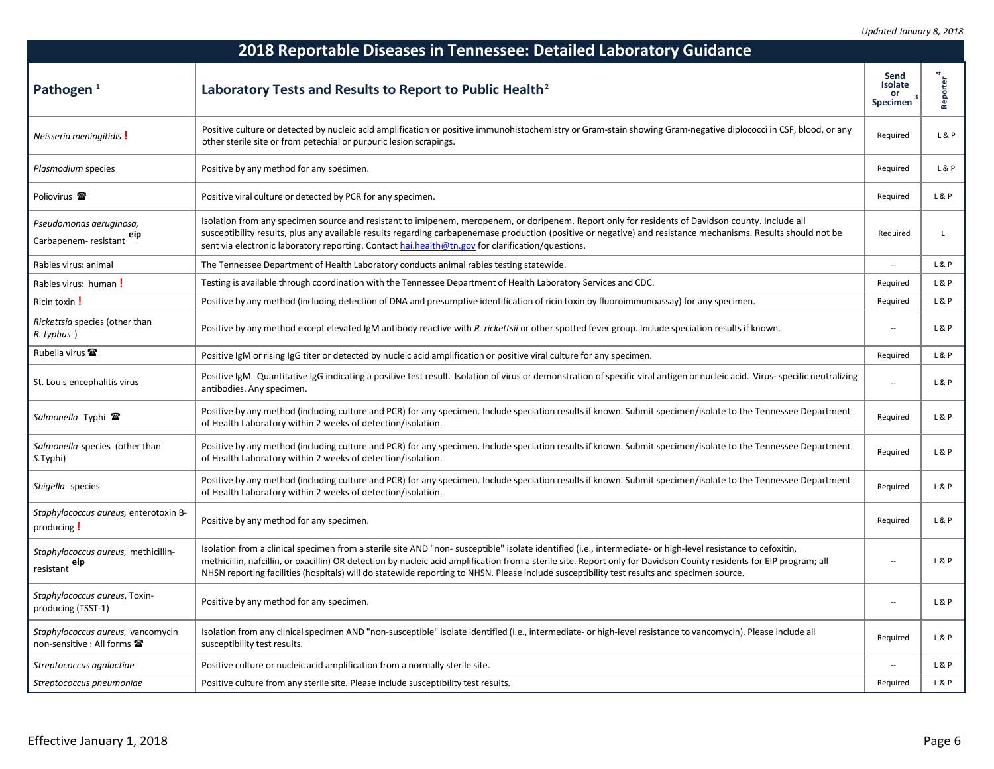| 2018 Reportable Diseases in Tennessee: Detailed Laboratory Guidance     |                                                                                                                                                                                                                                                                                                                                                                                                                                                                                    |                                          |              |
|-------------------------------------------------------------------------|------------------------------------------------------------------------------------------------------------------------------------------------------------------------------------------------------------------------------------------------------------------------------------------------------------------------------------------------------------------------------------------------------------------------------------------------------------------------------------|------------------------------------------|--------------|
| Pathogen <sup>1</sup>                                                   | Laboratory Tests and Results to Report to Public Health <sup>2</sup>                                                                                                                                                                                                                                                                                                                                                                                                               | Send<br>Isolate<br>or<br><b>Specimen</b> | Reporter     |
| Neisseria meningitidis!                                                 | Positive culture or detected by nucleic acid amplification or positive immunohistochemistry or Gram-stain showing Gram-negative diplococci in CSF, blood, or any<br>other sterile site or from petechial or purpuric lesion scrapings.                                                                                                                                                                                                                                             | Required                                 | L & P        |
| Plasmodium species                                                      | Positive by any method for any specimen.                                                                                                                                                                                                                                                                                                                                                                                                                                           | Required                                 | L&P          |
| Poliovirus <sup>2</sup>                                                 | Positive viral culture or detected by PCR for any specimen.                                                                                                                                                                                                                                                                                                                                                                                                                        | Required                                 | L&P          |
| Pseudomonas aeruginosa,<br>eıp<br>Carbapenem-resistant                  | Isolation from any specimen source and resistant to imipenem, meropenem, or doripenem. Report only for residents of Davidson county. Include all<br>susceptibility results, plus any available results regarding carbapenemase production (positive or negative) and resistance mechanisms. Results should not be<br>sent via electronic laboratory reporting. Contact hai.health@tn.gov for clarification/questions.                                                              | Required                                 | $\mathsf{L}$ |
| Rabies virus: animal                                                    | The Tennessee Department of Health Laboratory conducts animal rabies testing statewide.                                                                                                                                                                                                                                                                                                                                                                                            | $\overline{\phantom{a}}$                 | L & P        |
| Rabies virus: human!                                                    | Testing is available through coordination with the Tennessee Department of Health Laboratory Services and CDC.                                                                                                                                                                                                                                                                                                                                                                     | Required                                 | L&P          |
| Ricin toxin !                                                           | Positive by any method (including detection of DNA and presumptive identification of ricin toxin by fluoroimmunoassay) for any specimen.                                                                                                                                                                                                                                                                                                                                           | Required                                 | L&P          |
| Rickettsia species (other than<br>R. typhus )                           | Positive by any method except elevated IgM antibody reactive with R. rickettsii or other spotted fever group. Include speciation results if known.                                                                                                                                                                                                                                                                                                                                 |                                          | L&P          |
| Rubella virus <b>雷</b>                                                  | Positive IgM or rising IgG titer or detected by nucleic acid amplification or positive viral culture for any specimen.                                                                                                                                                                                                                                                                                                                                                             | Required                                 | L&P          |
| St. Louis encephalitis virus                                            | Positive IgM. Quantitative IgG indicating a positive test result. Isolation of virus or demonstration of specific viral antigen or nucleic acid. Virus- specific neutralizing<br>antibodies. Any specimen.                                                                                                                                                                                                                                                                         | $\ddot{\phantom{a}}$                     | L&P          |
| Salmonella Typhi <b>雷</b>                                               | Positive by any method (including culture and PCR) for any specimen. Include speciation results if known. Submit specimen/isolate to the Tennessee Department<br>of Health Laboratory within 2 weeks of detection/isolation.                                                                                                                                                                                                                                                       | Required                                 | L&P          |
| Salmonella species (other than<br>S. Typhi)                             | Positive by any method (including culture and PCR) for any specimen. Include speciation results if known. Submit specimen/isolate to the Tennessee Department<br>of Health Laboratory within 2 weeks of detection/isolation.                                                                                                                                                                                                                                                       | Required                                 | L&P          |
| Shigella species                                                        | Positive by any method (including culture and PCR) for any specimen. Include speciation results if known. Submit specimen/isolate to the Tennessee Department<br>of Health Laboratory within 2 weeks of detection/isolation.                                                                                                                                                                                                                                                       | Required                                 | L&P          |
| Staphylococcus aureus, enterotoxin B-<br>producing !                    | Positive by any method for any specimen.                                                                                                                                                                                                                                                                                                                                                                                                                                           | Required                                 | L&P          |
| Staphylococcus aureus, methicillin-<br>resistant eip                    | Isolation from a clinical specimen from a sterile site AND "non- susceptible" isolate identified (i.e., intermediate- or high-level resistance to cefoxitin,<br>methicillin, nafcillin, or oxacillin) OR detection by nucleic acid amplification from a sterile site. Report only for Davidson County residents for EIP program; all<br>NHSN reporting facilities (hospitals) will do statewide reporting to NHSN. Please include susceptibility test results and specimen source. |                                          | L & P        |
| Staphylococcus aureus, Toxin-<br>producing (TSST-1)                     | Positive by any method for any specimen.                                                                                                                                                                                                                                                                                                                                                                                                                                           | $\overline{\phantom{a}}$                 | L & P        |
| Staphylococcus aureus, vancomycin<br>non-sensitive : All forms <b>雷</b> | Isolation from any clinical specimen AND "non-susceptible" isolate identified (i.e., intermediate- or high-level resistance to vancomycin). Please include all<br>susceptibility test results.                                                                                                                                                                                                                                                                                     | Required                                 | L & P        |
| Streptococcus agalactiae                                                | Positive culture or nucleic acid amplification from a normally sterile site.                                                                                                                                                                                                                                                                                                                                                                                                       |                                          | L&P          |
| Streptococcus pneumoniae                                                | Positive culture from any sterile site. Please include susceptibility test results.                                                                                                                                                                                                                                                                                                                                                                                                | Required                                 | L&P          |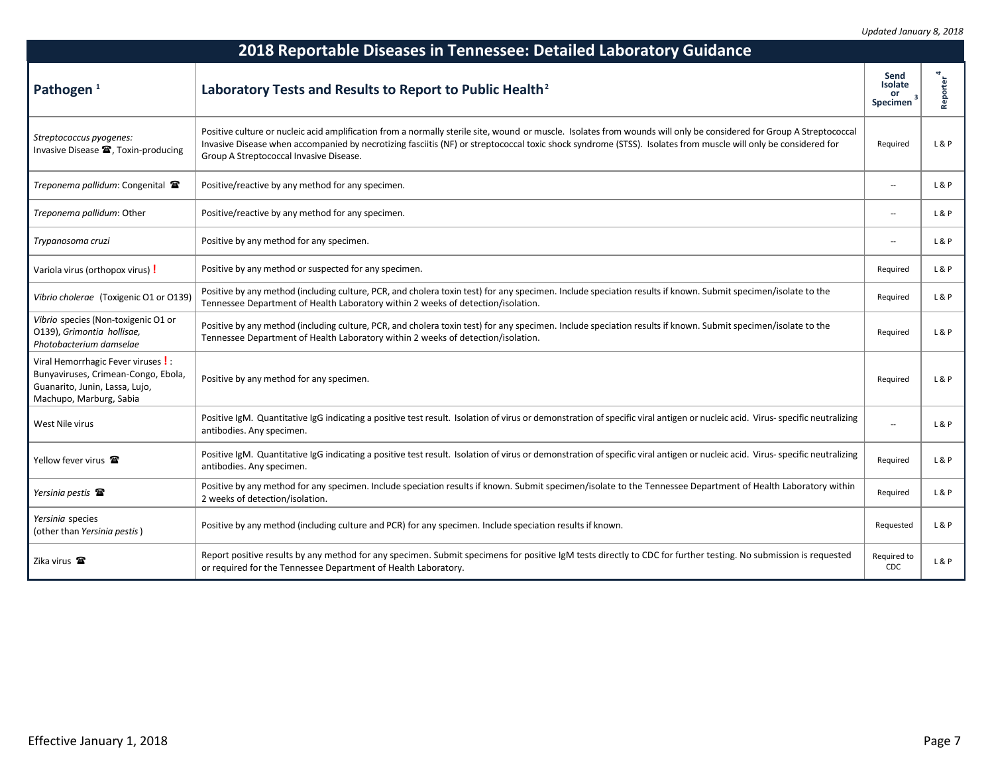| 2018 Reportable Diseases in Tennessee: Detailed Laboratory Guidance                                                                  |                                                                                                                                                                                                                                                                                                                                                                                   |                                          |          |
|--------------------------------------------------------------------------------------------------------------------------------------|-----------------------------------------------------------------------------------------------------------------------------------------------------------------------------------------------------------------------------------------------------------------------------------------------------------------------------------------------------------------------------------|------------------------------------------|----------|
| Pathogen <sup>1</sup>                                                                                                                | Laboratory Tests and Results to Report to Public Health <sup>2</sup>                                                                                                                                                                                                                                                                                                              | Send<br><b>Isolate</b><br>or<br>Specimen | Reporter |
| Streptococcus pyogenes:<br>Invasive Disease <sup>2</sup> , Toxin-producing                                                           | Positive culture or nucleic acid amplification from a normally sterile site, wound or muscle. Isolates from wounds will only be considered for Group A Streptococcal<br>Invasive Disease when accompanied by necrotizing fasciitis (NF) or streptococcal toxic shock syndrome (STSS). Isolates from muscle will only be considered for<br>Group A Streptococcal Invasive Disease. | Required                                 | L&P      |
| Treponema pallidum: Congenital 雷                                                                                                     | Positive/reactive by any method for any specimen.                                                                                                                                                                                                                                                                                                                                 | $\overline{\phantom{a}}$                 | L&P      |
| Treponema pallidum: Other                                                                                                            | Positive/reactive by any method for any specimen.                                                                                                                                                                                                                                                                                                                                 | $\ddot{\phantom{a}}$                     | L&P      |
| Trypanosoma cruzi                                                                                                                    | Positive by any method for any specimen.                                                                                                                                                                                                                                                                                                                                          | $\overline{a}$                           | L&P      |
| Variola virus (orthopox virus) !                                                                                                     | Positive by any method or suspected for any specimen.                                                                                                                                                                                                                                                                                                                             | Required                                 | L&P      |
| Vibrio cholerae (Toxigenic O1 or O139)                                                                                               | Positive by any method (including culture, PCR, and cholera toxin test) for any specimen. Include speciation results if known. Submit specimen/isolate to the<br>Tennessee Department of Health Laboratory within 2 weeks of detection/isolation.                                                                                                                                 | Required                                 | L&P      |
| Vibrio species (Non-toxigenic O1 or<br>O139), Grimontia hollisae,<br>Photobacterium damselae                                         | Positive by any method (including culture, PCR, and cholera toxin test) for any specimen. Include speciation results if known. Submit specimen/isolate to the<br>Tennessee Department of Health Laboratory within 2 weeks of detection/isolation.                                                                                                                                 | Required                                 | L&P      |
| Viral Hemorrhagic Fever viruses!<br>Bunyaviruses, Crimean-Congo, Ebola,<br>Guanarito, Junin, Lassa, Lujo,<br>Machupo, Marburg, Sabia | Positive by any method for any specimen.                                                                                                                                                                                                                                                                                                                                          | Required                                 | L&P      |
| West Nile virus                                                                                                                      | Positive IgM. Quantitative IgG indicating a positive test result. Isolation of virus or demonstration of specific viral antigen or nucleic acid. Virus- specific neutralizing<br>antibodies. Any specimen.                                                                                                                                                                        | $\overline{\phantom{a}}$                 | L&P      |
| Yellow fever virus                                                                                                                   | Positive IgM. Quantitative IgG indicating a positive test result. Isolation of virus or demonstration of specific viral antigen or nucleic acid. Virus- specific neutralizing<br>antibodies. Any specimen.                                                                                                                                                                        | Required                                 | L&P      |
| Yersinia pestis <b>雷</b>                                                                                                             | Positive by any method for any specimen. Include speciation results if known. Submit specimen/isolate to the Tennessee Department of Health Laboratory within<br>2 weeks of detection/isolation.                                                                                                                                                                                  | Required                                 | L&P      |
| Yersinia species<br>(other than Yersinia pestis)                                                                                     | Positive by any method (including culture and PCR) for any specimen. Include speciation results if known.                                                                                                                                                                                                                                                                         | Requested                                | L&P      |
| Zika virus <b>雷</b>                                                                                                                  | Report positive results by any method for any specimen. Submit specimens for positive IgM tests directly to CDC for further testing. No submission is requested<br>or required for the Tennessee Department of Health Laboratory.                                                                                                                                                 | Required to<br>CDC                       | L&P      |